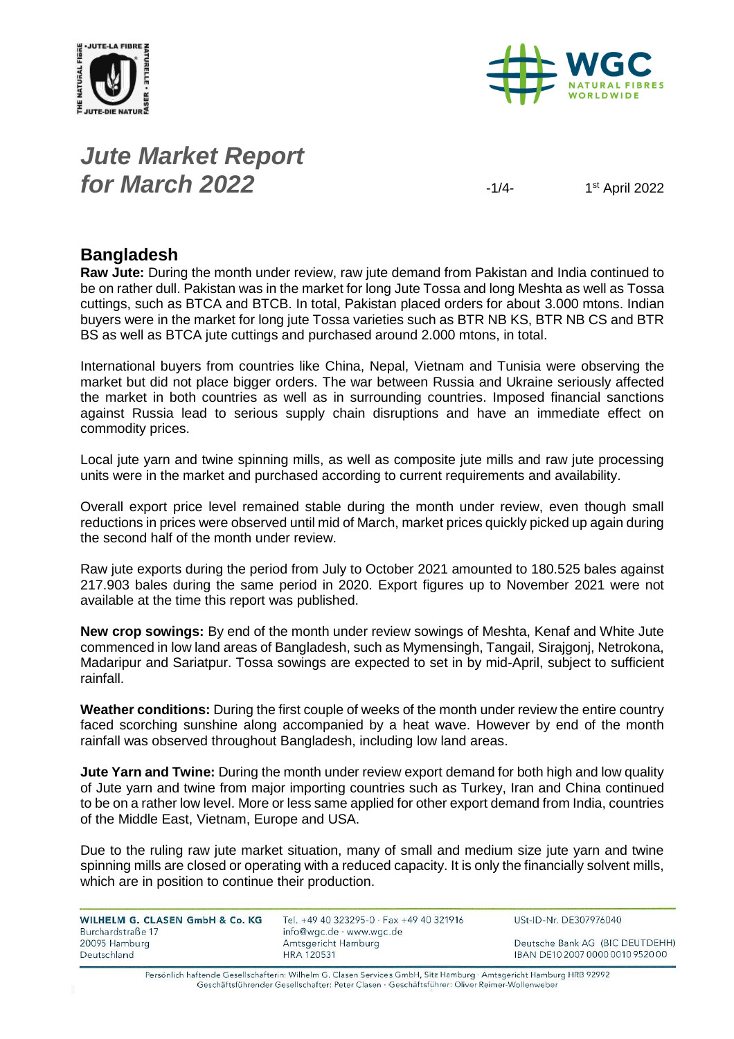



# *Jute Market Report for March* **2022**  $\frac{1}{4}$

1<sup>st</sup> April 2022

### **Bangladesh**

**Raw Jute:** During the month under review, raw jute demand from Pakistan and India continued to be on rather dull. Pakistan was in the market for long Jute Tossa and long Meshta as well as Tossa cuttings, such as BTCA and BTCB. In total, Pakistan placed orders for about 3.000 mtons. Indian buyers were in the market for long jute Tossa varieties such as BTR NB KS, BTR NB CS and BTR BS as well as BTCA jute cuttings and purchased around 2.000 mtons, in total.

International buyers from countries like China, Nepal, Vietnam and Tunisia were observing the market but did not place bigger orders. The war between Russia and Ukraine seriously affected the market in both countries as well as in surrounding countries. Imposed financial sanctions against Russia lead to serious supply chain disruptions and have an immediate effect on commodity prices.

Local jute yarn and twine spinning mills, as well as composite jute mills and raw jute processing units were in the market and purchased according to current requirements and availability.

Overall export price level remained stable during the month under review, even though small reductions in prices were observed until mid of March, market prices quickly picked up again during the second half of the month under review.

Raw jute exports during the period from July to October 2021 amounted to 180.525 bales against 217.903 bales during the same period in 2020. Export figures up to November 2021 were not available at the time this report was published.

**New crop sowings:** By end of the month under review sowings of Meshta, Kenaf and White Jute commenced in low land areas of Bangladesh, such as Mymensingh, Tangail, Sirajgonj, Netrokona, Madaripur and Sariatpur. Tossa sowings are expected to set in by mid-April, subject to sufficient rainfall.

**Weather conditions:** During the first couple of weeks of the month under review the entire country faced scorching sunshine along accompanied by a heat wave. However by end of the month rainfall was observed throughout Bangladesh, including low land areas.

**Jute Yarn and Twine:** During the month under review export demand for both high and low quality of Jute yarn and twine from major importing countries such as Turkey, Iran and China continued to be on a rather low level. More or less same applied for other export demand from India, countries of the Middle East, Vietnam, Europe and USA.

Due to the ruling raw jute market situation, many of small and medium size jute yarn and twine spinning mills are closed or operating with a reduced capacity. It is only the financially solvent mills, which are in position to continue their production.

| WILHELM G. CLASEN GmbH & Co. KG<br>Burchardstraße 17 | Tel. +49 40 323295-0 $\cdot$ Fax +49 40 321916<br>$info@wqc.de \cdot www.wqc.de$ | USt-ID-Nr. DE307976040           |  |
|------------------------------------------------------|----------------------------------------------------------------------------------|----------------------------------|--|
| 20095 Hamburg                                        | Amtsgericht Hamburg                                                              | Deutsche Bank AG (BIC DEUTDEHH)  |  |
| Deutschland                                          | <b>HRA 120531</b>                                                                | IBAN DE10 2007 0000 0010 9520 00 |  |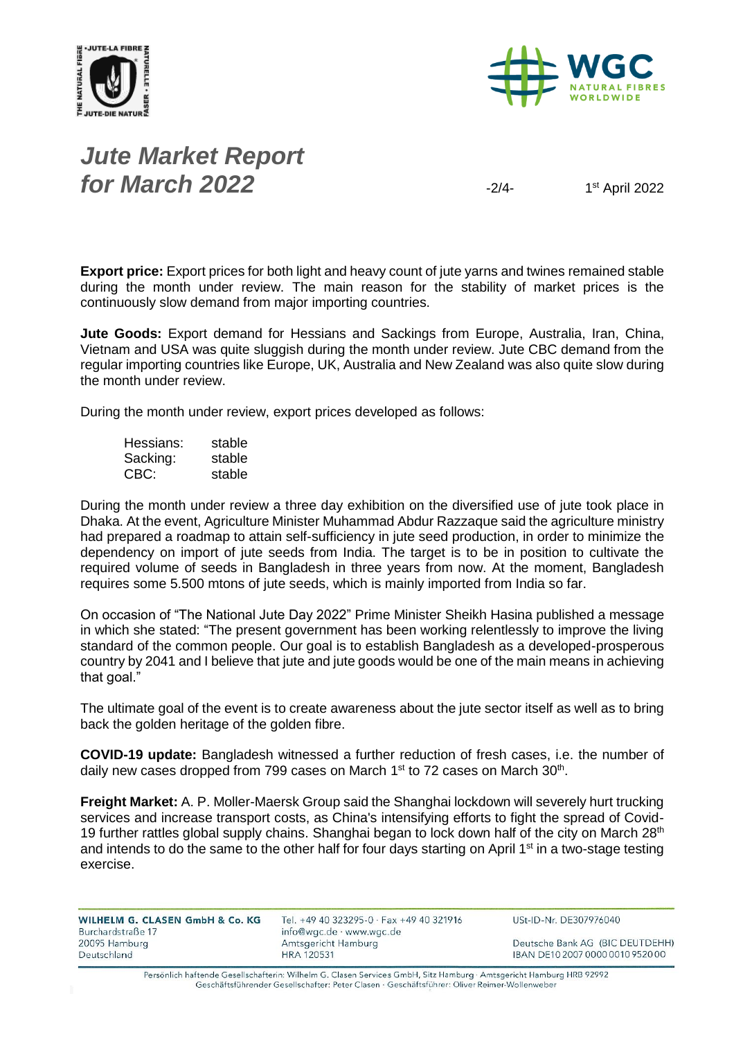



# *Jute Market Report for March* **2022**  $\frac{1}{2}$

 $1<sup>st</sup>$  April 2022

**Export price:** Export prices for both light and heavy count of jute yarns and twines remained stable during the month under review. The main reason for the stability of market prices is the continuously slow demand from major importing countries.

**Jute Goods:** Export demand for Hessians and Sackings from Europe, Australia, Iran, China, Vietnam and USA was quite sluggish during the month under review. Jute CBC demand from the regular importing countries like Europe, UK, Australia and New Zealand was also quite slow during the month under review.

During the month under review, export prices developed as follows:

| Hessians: | stable |
|-----------|--------|
| Sacking:  | stable |
| CBC:      | stable |

During the month under review a three day exhibition on the diversified use of jute took place in Dhaka. At the event, Agriculture Minister Muhammad Abdur Razzaque said the agriculture ministry had prepared a roadmap to attain self-sufficiency in jute seed production, in order to minimize the dependency on import of jute seeds from India. The target is to be in position to cultivate the required volume of seeds in Bangladesh in three years from now. At the moment, Bangladesh requires some 5.500 mtons of jute seeds, which is mainly imported from India so far.

On occasion of "The National Jute Day 2022" Prime Minister Sheikh Hasina published a message in which she stated: "The present government has been working relentlessly to improve the living standard of the common people. Our goal is to establish Bangladesh as a developed-prosperous country by 2041 and I believe that jute and jute goods would be one of the main means in achieving that goal."

The ultimate goal of the event is to create awareness about the jute sector itself as well as to bring back the golden heritage of the golden fibre.

**COVID-19 update:** Bangladesh witnessed a further reduction of fresh cases, i.e. the number of daily new cases dropped from 799 cases on March 1<sup>st</sup> to 72 cases on March 30<sup>th</sup>.

**Freight Market:** A. P. Moller-Maersk Group said the Shanghai lockdown will severely hurt trucking services and increase transport costs, as China's intensifying efforts to fight the spread of Covid-19 further rattles global supply chains. Shanghai began to lock down half of the city on March  $28<sup>th</sup>$ and intends to do the same to the other half for four days starting on April 1 $\rm st$  in a two-stage testing exercise.

| WILHELM G. CLASEN GmbH & Co. KG | Tel. +49 40 323295-0 · Fax +49 40 321916 | USt-ID-Nr. DE307976040           |
|---------------------------------|------------------------------------------|----------------------------------|
| Burchardstraße 17               | info@wgc.de · www.wgc.de                 |                                  |
| 20095 Hamburg                   | Amtsgericht Hamburg                      | Deutsche Bank AG (BIC DEUTDEHH)  |
| Deutschland                     | <b>HRA 120531</b>                        | IBAN DE10 2007 0000 0010 9520 00 |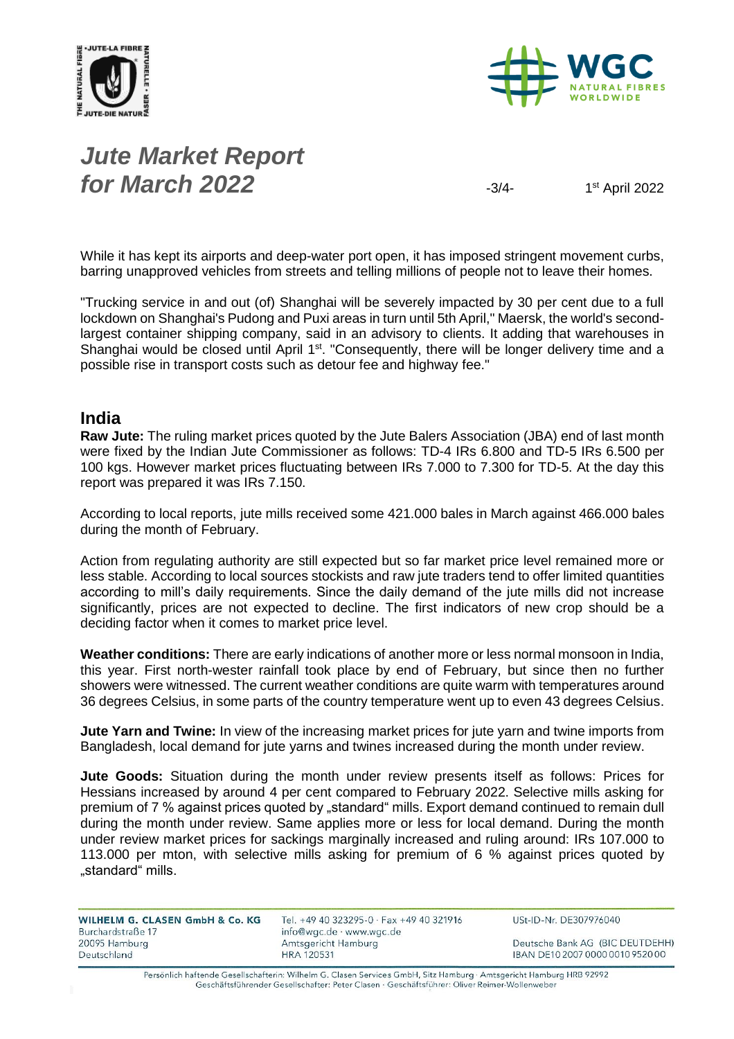



# *Jute Market Report for March* **2022**  $\frac{3}{4}$

 $1<sup>st</sup>$  April 2022

While it has kept its airports and deep-water port open, it has imposed stringent movement curbs, barring unapproved vehicles from streets and telling millions of people not to leave their homes.

"Trucking service in and out (of) Shanghai will be severely impacted by 30 per cent due to a full lockdown on Shanghai's Pudong and Puxi areas in turn until 5th April," Maersk, the world's secondlargest container shipping company, said in an advisory to clients. It adding that warehouses in Shanghai would be closed until April 1<sup>st</sup>. "Consequently, there will be longer delivery time and a possible rise in transport costs such as detour fee and highway fee."

#### **India**

**Raw Jute:** The ruling market prices quoted by the Jute Balers Association (JBA) end of last month were fixed by the Indian Jute Commissioner as follows: TD-4 IRs 6.800 and TD-5 IRs 6.500 per 100 kgs. However market prices fluctuating between IRs 7.000 to 7.300 for TD-5. At the day this report was prepared it was IRs 7.150.

According to local reports, jute mills received some 421.000 bales in March against 466.000 bales during the month of February.

Action from regulating authority are still expected but so far market price level remained more or less stable. According to local sources stockists and raw jute traders tend to offer limited quantities according to mill's daily requirements. Since the daily demand of the jute mills did not increase significantly, prices are not expected to decline. The first indicators of new crop should be a deciding factor when it comes to market price level.

**Weather conditions:** There are early indications of another more or less normal monsoon in India, this year. First north-wester rainfall took place by end of February, but since then no further showers were witnessed. The current weather conditions are quite warm with temperatures around 36 degrees Celsius, in some parts of the country temperature went up to even 43 degrees Celsius.

**Jute Yarn and Twine:** In view of the increasing market prices for jute yarn and twine imports from Bangladesh, local demand for jute yarns and twines increased during the month under review.

**Jute Goods:** Situation during the month under review presents itself as follows: Prices for Hessians increased by around 4 per cent compared to February 2022. Selective mills asking for premium of 7 % against prices quoted by "standard" mills. Export demand continued to remain dull during the month under review. Same applies more or less for local demand. During the month under review market prices for sackings marginally increased and ruling around: IRs 107.000 to 113.000 per mton, with selective mills asking for premium of 6 % against prices quoted by "standard" mills.

| WILHELM G. CLASEN GmbH & Co. KG | Tel. +49 40 323295-0 · Fax +49 40 321916 | $USt-I$     |
|---------------------------------|------------------------------------------|-------------|
| Burchardstraße 17               | info@wgc.de · www.wgc.de                 |             |
| 20095 Hamburg                   | Amtsgericht Hamburg                      | Deut        |
| Deutschland                     | <b>HRA 120531</b>                        | <b>IBAN</b> |

D-Nr. DE307976040

sche Bank AG (BIC DEUTDEHH) DE10 2007 0000 0010 9520 00